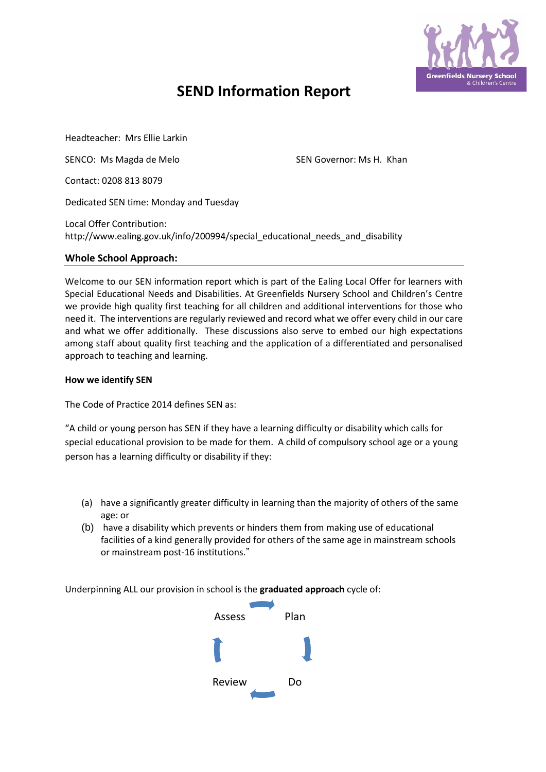

# **SEND Information Report**

Headteacher: Mrs Ellie Larkin

SENCO: Ms Magda de Melo SEN Governor: Ms H. Khan

Contact: 0208 813 8079

Dedicated SEN time: Monday and Tuesday

Local Offer Contribution: http://www.ealing.gov.uk/info/200994/special\_educational\_needs\_and\_disability

### **Whole School Approach:**

Welcome to our SEN information report which is part of the Ealing Local Offer for learners with Special Educational Needs and Disabilities. At Greenfields Nursery School and Children's Centre we provide high quality first teaching for all children and additional interventions for those who need it. The interventions are regularly reviewed and record what we offer every child in our care and what we offer additionally. These discussions also serve to embed our high expectations among staff about quality first teaching and the application of a differentiated and personalised approach to teaching and learning.

#### **How we identify SEN**

The Code of Practice 2014 defines SEN as:

"A child or young person has SEN if they have a learning difficulty or disability which calls for special educational provision to be made for them. A child of compulsory school age or a young person has a learning difficulty or disability if they:

- (a) have a significantly greater difficulty in learning than the majority of others of the same age: or
- (b) have a disability which prevents or hinders them from making use of educational facilities of a kind generally provided for others of the same age in mainstream schools or mainstream post-16 institutions."

Underpinning ALL our provision in school is the **graduated approach** cycle of:

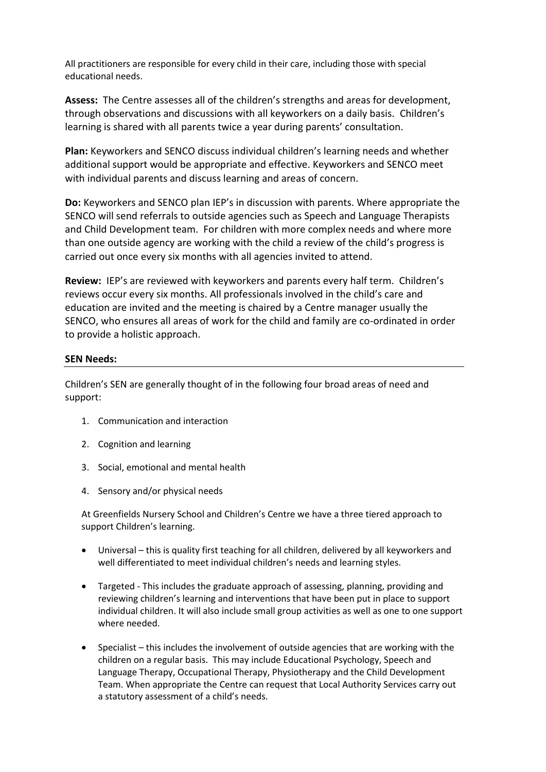All practitioners are responsible for every child in their care, including those with special educational needs.

**Assess:** The Centre assesses all of the children's strengths and areas for development, through observations and discussions with all keyworkers on a daily basis. Children's learning is shared with all parents twice a year during parents' consultation.

**Plan:** Keyworkers and SENCO discuss individual children's learning needs and whether additional support would be appropriate and effective. Keyworkers and SENCO meet with individual parents and discuss learning and areas of concern.

**Do:** Keyworkers and SENCO plan IEP's in discussion with parents. Where appropriate the SENCO will send referrals to outside agencies such as Speech and Language Therapists and Child Development team. For children with more complex needs and where more than one outside agency are working with the child a review of the child's progress is carried out once every six months with all agencies invited to attend.

**Review:** IEP's are reviewed with keyworkers and parents every half term. Children's reviews occur every six months. All professionals involved in the child's care and education are invited and the meeting is chaired by a Centre manager usually the SENCO, who ensures all areas of work for the child and family are co-ordinated in order to provide a holistic approach.

# **SEN Needs:**

Children's SEN are generally thought of in the following four broad areas of need and support:

- 1. Communication and interaction
- 2. Cognition and learning
- 3. Social, emotional and mental health
- 4. Sensory and/or physical needs

At Greenfields Nursery School and Children's Centre we have a three tiered approach to support Children's learning.

- Universal this is quality first teaching for all children, delivered by all keyworkers and well differentiated to meet individual children's needs and learning styles.
- Targeted This includes the graduate approach of assessing, planning, providing and reviewing children's learning and interventions that have been put in place to support individual children. It will also include small group activities as well as one to one support where needed.
- Specialist this includes the involvement of outside agencies that are working with the children on a regular basis. This may include Educational Psychology, Speech and Language Therapy, Occupational Therapy, Physiotherapy and the Child Development Team. When appropriate the Centre can request that Local Authority Services carry out a statutory assessment of a child's needs.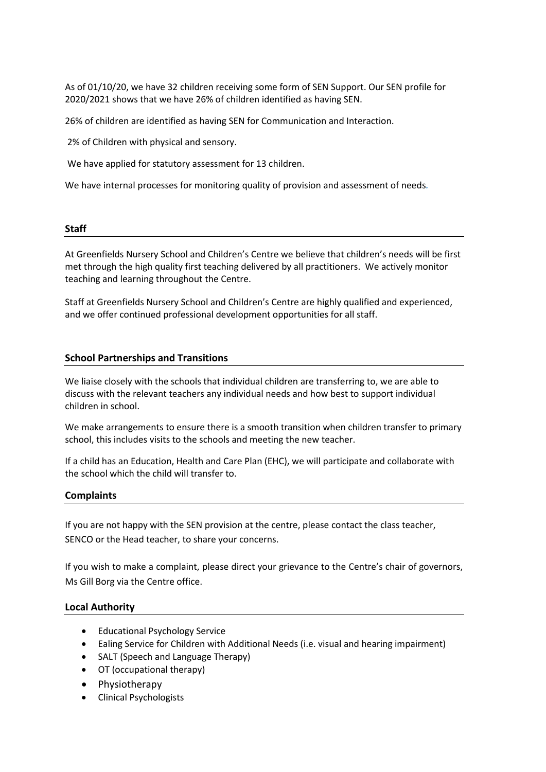As of 01/10/20, we have 32 children receiving some form of SEN Support. Our SEN profile for 2020/2021 shows that we have 26% of children identified as having SEN.

26% of children are identified as having SEN for Communication and Interaction.

2% of Children with physical and sensory.

We have applied for statutory assessment for 13 children.

We have internal processes for monitoring quality of provision and assessment of needs*.* 

#### **Staff**

At Greenfields Nursery School and Children's Centre we believe that children's needs will be first met through the high quality first teaching delivered by all practitioners. We actively monitor teaching and learning throughout the Centre.

Staff at Greenfields Nursery School and Children's Centre are highly qualified and experienced, and we offer continued professional development opportunities for all staff.

### **School Partnerships and Transitions**

We liaise closely with the schools that individual children are transferring to, we are able to discuss with the relevant teachers any individual needs and how best to support individual children in school.

We make arrangements to ensure there is a smooth transition when children transfer to primary school, this includes visits to the schools and meeting the new teacher.

If a child has an Education, Health and Care Plan (EHC), we will participate and collaborate with the school which the child will transfer to.

#### **Complaints**

If you are not happy with the SEN provision at the centre, please contact the class teacher, SENCO or the Head teacher, to share your concerns.

If you wish to make a complaint, please direct your grievance to the Centre's chair of governors, Ms Gill Borg via the Centre office.

# **Local Authority**

- Educational Psychology Service
- Ealing Service for Children with Additional Needs (i.e. visual and hearing impairment)
- SALT (Speech and Language Therapy)
- OT (occupational therapy)
- Physiotherapy
- Clinical Psychologists